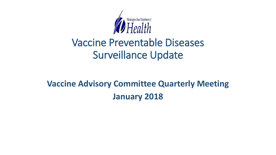

# Vaccine Preventable Diseases Surveillance Update

# **Vaccine Advisory Committee Quarterly Meeting January 2018**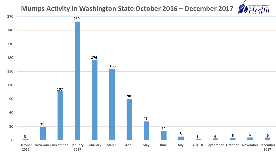## **Mumps Activity in Washington State October 2016 – December 2017**

**TO** 

Washington State Department of

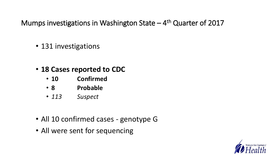Mumps investigations in Washington State – 4<sup>th</sup> Quarter of 2017

- 131 investigations
- **18 Cases reported to CDC**
	- **10 Confirmed**
	- **8 Probable**
	- *113 Suspect*
- All 10 confirmed cases genotype G
- All were sent for sequencing

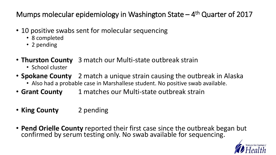Mumps molecular epidemiology in Washington State - 4<sup>th</sup> Quarter of 2017

- 10 positive swabs sent for molecular sequencing
	- 8 completed
	- 2 pending
- **Thurston County** 3 match our Multi-state outbreak strain
	- School cluster
- **Spokane County** 2 match a unique strain causing the outbreak in Alaska
	- Also had a probable case in Marshallese student. No positive swab available.
- **Grant County** 1 matches our Multi-state outbreak strain
- **King County** 2 pending
- **Pend Orielle County** reported their first case since the outbreak began but confirmed by serum testing only. No swab available for sequencing.

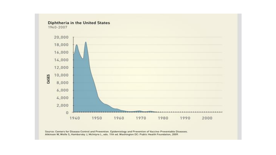

Source: Centers for Disease Control and Prevention. Epidemiology and Prevention of Vaccine-Preventable Diseases. Atkinson W, Wolfe S, Hamborsky J, McIntyre L, eds. 11th ed. Washington DC: Public Health Foundation, 2009.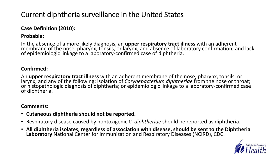# Current diphtheria surveillance in the United States

### **Case Definition (2010):**

### **Probable:**

In the absence of a more likely diagnosis, an **upper respiratory tract illness** with an adherent membrane of the nose, pharynx, tonsils, or larynx; and absence of laboratory confirmation; and lack of epidemiologic linkage to a laboratory-confirmed case of diphtheria.

#### **Confirmed:**

An **upper respiratory tract illness** with an adherent membrane of the nose, pharynx, tonsils, or larynx; and any of the following: isolation of *Corynebacterium diphtheriae* from the nose or throat; or histopathologic diagnosis of diphtheria; or epidemiologic linkage to a laboratory-confirmed case of diphtheria.

#### **Comments:**

- **Cutaneous diphtheria should not be reported.**
- Respiratory disease caused by nontoxigenic *C. diphtheriae* should be reported as diphtheria.
- **All diphtheria isolates, regardless of association with disease, should be sent to the Diphtheria Laboratory** National Center for Immunization and Respiratory Diseases (NCIRD), CDC.

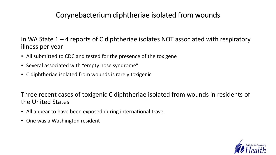## Corynebacterium diphtheriae isolated from wounds

In WA State 1 – 4 reports of C diphtheriae isolates NOT associated with respiratory illness per year

- All submitted to CDC and tested for the presence of the tox gene
- Several associated with "empty nose syndrome"
- C diphtheriae isolated from wounds is rarely toxigenic

Three recent cases of toxigenic C diphtheriae isolated from wounds in residents of the United States

- All appear to have been exposed during international travel
- One was a Washington resident

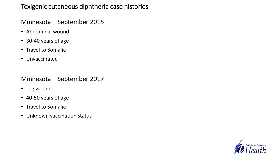## Toxigenic cutaneous diphtheria case histories

### Minnesota – September 2015

- Abdominal wound
- 30-40 years of age
- Travel to Somalia
- Unvaccinated

## Minnesota – September 2017

- Leg wound
- 40-50 years of age
- Travel to Somalia
- Unknown vaccination status

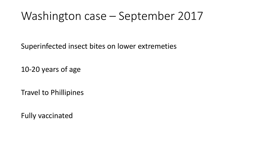# Washington case – September 2017

Superinfected insect bites on lower extremeties

10-20 years of age

Travel to Phillipines

Fully vaccinated